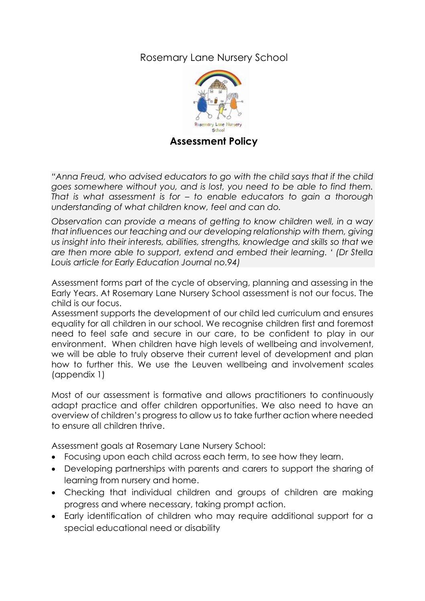## Rosemary Lane Nursery School



*"Anna Freud, who advised educators to go with the child says that if the child goes somewhere without you, and is lost, you need to be able to find them. That is what assessment is for – to enable educators to gain a thorough understanding of what children know, feel and can do.* 

*Observation can provide a means of getting to know children well, in a way that influences our teaching and our developing relationship with them, giving us insight into their interests, abilities, strengths, knowledge and skills so that we are then more able to support, extend and embed their learning. ' (Dr Stella Louis article for Early Education Journal no.94)*

Assessment forms part of the cycle of observing, planning and assessing in the Early Years. At Rosemary Lane Nursery School assessment is not our focus. The child is our focus.

Assessment supports the development of our child led curriculum and ensures equality for all children in our school. We recognise children first and foremost need to feel safe and secure in our care, to be confident to play in our environment. When children have high levels of wellbeing and involvement, we will be able to truly observe their current level of development and plan how to further this. We use the Leuven wellbeing and involvement scales (appendix 1)

Most of our assessment is formative and allows practitioners to continuously adapt practice and offer children opportunities. We also need to have an overview of children's progress to allow us to take further action where needed to ensure all children thrive.

Assessment goals at Rosemary Lane Nursery School:

- Focusing upon each child across each term, to see how they learn.
- Developing partnerships with parents and carers to support the sharing of learning from nursery and home.
- Checking that individual children and groups of children are making progress and where necessary, taking prompt action.
- Early identification of children who may require additional support for a special educational need or disability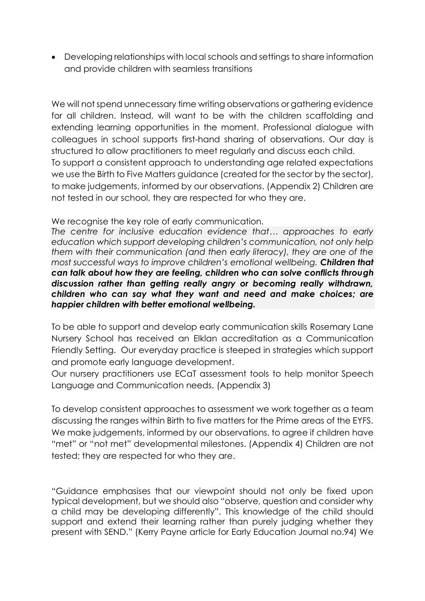• Developing relationships with local schools and settings to share information and provide children with seamless transitions

We will not spend unnecessary time writing observations or gathering evidence for all children. Instead, will want to be with the children scaffolding and extending learning opportunities in the moment. Professional dialogue with colleagues in school supports first-hand sharing of observations. Our day is structured to allow practitioners to meet regularly and discuss each child. To support a consistent approach to understanding age related expectations we use the Birth to Five Matters guidance (created for the sector by the sector), to make judgements, informed by our observations. (Appendix 2) Children are not tested in our school, they are respected for who they are.

We recognise the key role of early communication.

*The centre for inclusive education evidence that… approaches to early education which support developing children's communication, not only help them with their communication (and then early literacy), they are one of the most successful ways to improve children's emotional wellbeing. Children that can talk about how they are feeling, children who can solve conflicts through discussion rather than getting really angry or becoming really withdrawn, children who can say what they want and need and make choices; are happier children with better emotional wellbeing.*

To be able to support and develop early communication skills Rosemary Lane Nursery School has received an Elklan accreditation as a Communication Friendly Setting. Our everyday practice is steeped in strategies which support and promote early language development.

Our nursery practitioners use ECaT assessment tools to help monitor Speech Language and Communication needs. (Appendix 3)

To develop consistent approaches to assessment we work together as a team discussing the ranges within Birth to five matters for the Prime areas of the EYFS. We make judgements, informed by our observations, to agree if children have "met" or "not met" developmental milestones. (Appendix 4) Children are not tested; they are respected for who they are.

"Guidance emphasises that our viewpoint should not only be fixed upon typical development, but we should also "observe, question and consider why a child may be developing differently". This knowledge of the child should support and extend their learning rather than purely judging whether they present with SEND." (Kerry Payne article for Early Education Journal no.94) We